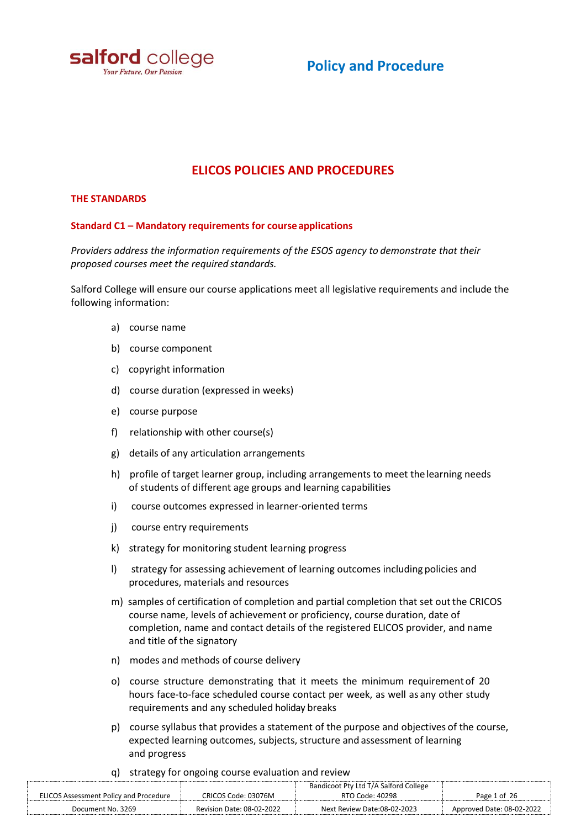

# **Policy and Procedure**

# **ELICOS POLICIES AND PROCEDURES**

#### **THE STANDARDS**

#### **Standard C1 – Mandatory requirements for courseapplications**

*Providers address the information requirements of the ESOS agency to demonstrate that their proposed courses meet the required standards.*

Salford College will ensure our course applications meet all legislative requirements and include the following information:

- a) course name
- b) course component
- c) copyright information
- d) course duration (expressed in weeks)
- e) course purpose
- f) relationship with other course(s)
- g) details of any articulation arrangements
- h) profile of target learner group, including arrangements to meet the learning needs of students of different age groups and learning capabilities
- i) course outcomes expressed in learner-oriented terms
- j) course entry requirements
- k) strategy for monitoring student learning progress
- l) strategy for assessing achievement of learning outcomes including policies and procedures, materials and resources
- m) samples of certification of completion and partial completion that set out the CRICOS course name, levels of achievement or proficiency, course duration, date of completion, name and contact details of the registered ELICOS provider, and name and title of the signatory
- n) modes and methods of course delivery
- o) course structure demonstrating that it meets the minimum requirementof 20 hours face-to-face scheduled course contact per week, as well as any other study requirements and any scheduled holiday breaks
- p) course syllabus that provides a statement of the purpose and objectives of the course, expected learning outcomes, subjects, structure and assessment of learning and progress
- q) strategy for ongoing course evaluation and review

| <b>ELICOS Assessment Policy and Procedure</b> | CRICOS Code: 03076M       | Bandicoot Pty Ltd T/A Salford College<br>RTO Code: 40298 | Page 1 of 26              |
|-----------------------------------------------|---------------------------|----------------------------------------------------------|---------------------------|
| Document No. 3269                             | Revision Date: 08-02-2022 | Next Review Date:08-02-2023                              | Approved Date: 08-02-2022 |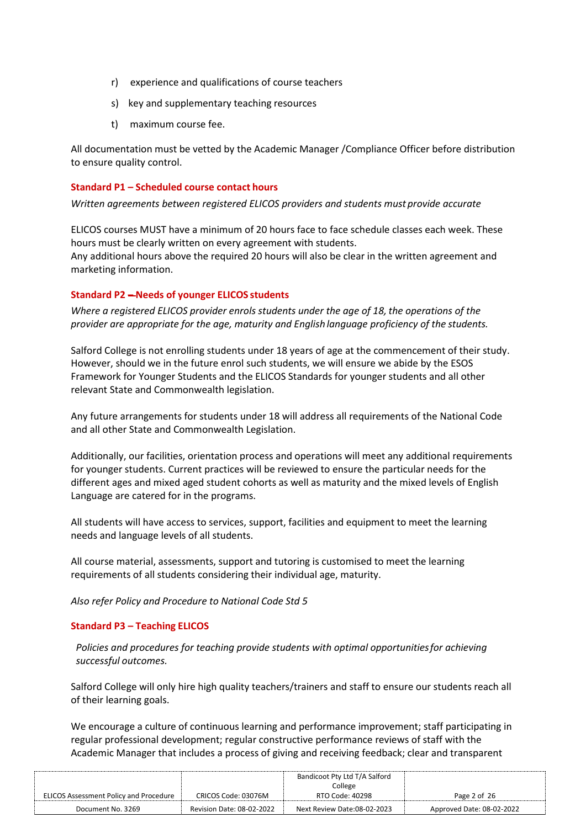- r) experience and qualifications of course teachers
- s) key and supplementary teaching resources
- t) maximum course fee.

All documentation must be vetted by the Academic Manager /Compliance Officer before distribution to ensure quality control.

#### **Standard P1 – Scheduled course contact hours**

*Written agreements between registered ELICOS providers and students must provide accurate* 

ELICOS courses MUST have a minimum of 20 hours face to face schedule classes each week. These hours must be clearly written on every agreement with students. Any additional hours above the required 20 hours will also be clear in the written agreement and marketing information.

## **Standard P2 – Needs of younger ELICOS students**

*Where a registered ELICOS provider enrols students under the age of 18, the operations of the provider are appropriate for the age, maturity and English language proficiency of the students.*

Salford College is not enrolling students under 18 years of age at the commencement of their study. However, should we in the future enrol such students, we will ensure we abide by the ESOS Framework for Younger Students and the ELICOS Standards for younger students and all other relevant State and Commonwealth legislation.

Any future arrangements for students under 18 will address all requirements of the National Code and all other State and Commonwealth Legislation.

Additionally, our facilities, orientation process and operations will meet any additional requirements for younger students. Current practices will be reviewed to ensure the particular needs for the different ages and mixed aged student cohorts as well as maturity and the mixed levels of English Language are catered for in the programs.

All students will have access to services, support, facilities and equipment to meet the learning needs and language levels of all students.

All course material, assessments, support and tutoring is customised to meet the learning requirements of all students considering their individual age, maturity.

*Also refer Policy and Procedure to National Code Std 5*

## **Standard P3 – Teaching ELICOS**

*Policies and procedures for teaching provide students with optimal opportunitiesfor achieving successful outcomes.*

Salford College will only hire high quality teachers/trainers and staff to ensure our students reach all of their learning goals.

We encourage a culture of continuous learning and performance improvement; staff participating in regular professional development; regular constructive performance reviews of staff with the Academic Manager that includes a process of giving and receiving feedback; clear and transparent

|                                               |                           | Bandicoot Pty Ltd T/A Salford |                           |
|-----------------------------------------------|---------------------------|-------------------------------|---------------------------|
|                                               |                           | College                       |                           |
| <b>ELICOS Assessment Policy and Procedure</b> | CRICOS Code: 03076M       | RTO Code: 40298               | Page 2 of 26              |
| Document No. 3269                             | Revision Date: 08-02-2022 | Next Review Date:08-02-2023   | Approved Date: 08-02-2022 |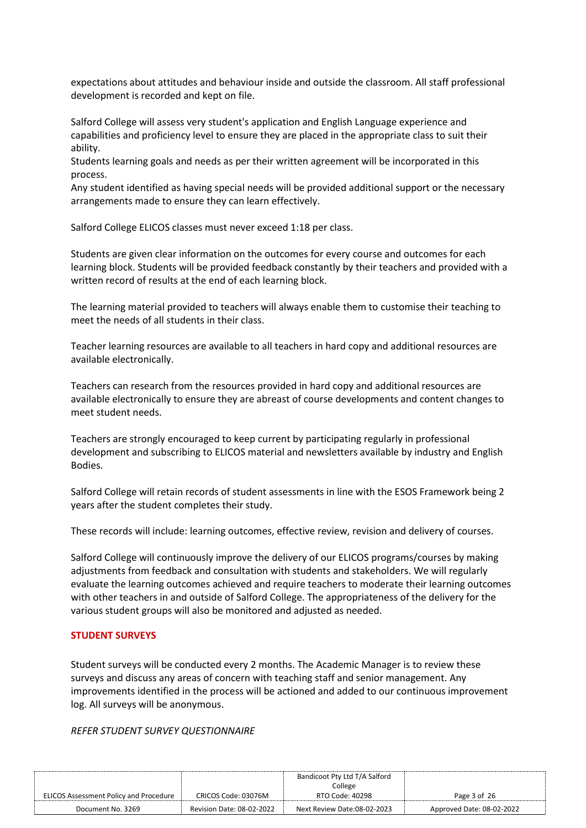expectations about attitudes and behaviour inside and outside the classroom. All staff professional development is recorded and kept on file.

Salford College will assess very student's application and English Language experience and capabilities and proficiency level to ensure they are placed in the appropriate class to suit their ability.

Students learning goals and needs as per their written agreement will be incorporated in this process.

Any student identified as having special needs will be provided additional support or the necessary arrangements made to ensure they can learn effectively.

Salford College ELICOS classes must never exceed 1:18 per class.

Students are given clear information on the outcomes for every course and outcomes for each learning block. Students will be provided feedback constantly by their teachers and provided with a written record of results at the end of each learning block.

The learning material provided to teachers will always enable them to customise their teaching to meet the needs of all students in their class.

Teacher learning resources are available to all teachers in hard copy and additional resources are available electronically.

Teachers can research from the resources provided in hard copy and additional resources are available electronically to ensure they are abreast of course developments and content changes to meet student needs.

Teachers are strongly encouraged to keep current by participating regularly in professional development and subscribing to ELICOS material and newsletters available by industry and English Bodies.

Salford College will retain records of student assessments in line with the ESOS Framework being 2 years after the student completes their study.

These records will include: learning outcomes, effective review, revision and delivery of courses.

Salford College will continuously improve the delivery of our ELICOS programs/courses by making adjustments from feedback and consultation with students and stakeholders. We will regularly evaluate the learning outcomes achieved and require teachers to moderate their learning outcomes with other teachers in and outside of Salford College. The appropriateness of the delivery for the various student groups will also be monitored and adjusted as needed.

## **STUDENT SURVEYS**

Student surveys will be conducted every 2 months. The Academic Manager is to review these surveys and discuss any areas of concern with teaching staff and senior management. Any improvements identified in the process will be actioned and added to our continuous improvement log. All surveys will be anonymous.

*REFER STUDENT SURVEY QUESTIONNAIRE*

|                                               |                           | Bandicoot Pty Ltd T/A Salford |                           |
|-----------------------------------------------|---------------------------|-------------------------------|---------------------------|
|                                               |                           | College                       |                           |
| <b>ELICOS Assessment Policy and Procedure</b> | CRICOS Code: 03076M       | RTO Code: 40298               | Page 3 of 26              |
| Document No. 3269                             | Revision Date: 08-02-2022 | Next Review Date:08-02-2023   | Approved Date: 08-02-2022 |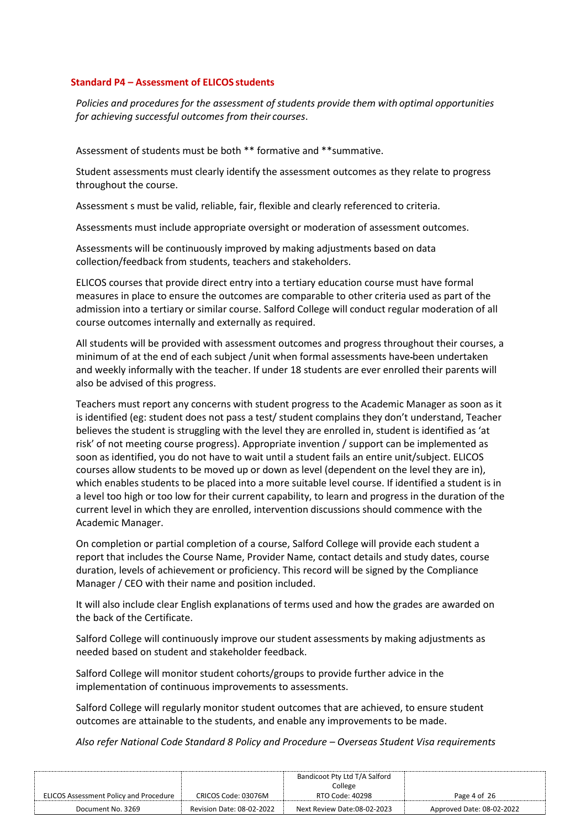#### **Standard P4 – Assessment of ELICOS students**

*Policies and procedures for the assessment of students provide them with optimal opportunities for achieving successful outcomes from their courses*.

Assessment of students must be both \*\* formative and \*\*summative.

Student assessments must clearly identify the assessment outcomes as they relate to progress throughout the course.

Assessment s must be valid, reliable, fair, flexible and clearly referenced to criteria.

Assessments must include appropriate oversight or moderation of assessment outcomes.

Assessments will be continuously improved by making adjustments based on data collection/feedback from students, teachers and stakeholders.

ELICOS courses that provide direct entry into a tertiary education course must have formal measures in place to ensure the outcomes are comparable to other criteria used as part of the admission into a tertiary or similar course. Salford College will conduct regular moderation of all course outcomes internally and externally as required.

All students will be provided with assessment outcomes and progress throughout their courses, a minimum of at the end of each subject /unit when formal assessments have been undertaken and weekly informally with the teacher. If under 18 students are ever enrolled their parents will also be advised of this progress.

Teachers must report any concerns with student progress to the Academic Manager as soon as it is identified (eg: student does not pass a test/ student complains they don't understand, Teacher believes the student is struggling with the level they are enrolled in, student is identified as 'at risk' of not meeting course progress). Appropriate invention / support can be implemented as soon as identified, you do not have to wait until a student fails an entire unit/subject. ELICOS courses allow students to be moved up or down as level (dependent on the level they are in), which enables students to be placed into a more suitable level course. If identified a student is in a level too high or too low for their current capability, to learn and progress in the duration of the current level in which they are enrolled, intervention discussions should commence with the Academic Manager.

On completion or partial completion of a course, Salford College will provide each student a report that includes the Course Name, Provider Name, contact details and study dates, course duration, levels of achievement or proficiency. This record will be signed by the Compliance Manager / CEO with their name and position included.

It will also include clear English explanations of terms used and how the grades are awarded on the back of the Certificate.

Salford College will continuously improve our student assessments by making adjustments as needed based on student and stakeholder feedback.

Salford College will monitor student cohorts/groups to provide further advice in the implementation of continuous improvements to assessments.

Salford College will regularly monitor student outcomes that are achieved, to ensure student outcomes are attainable to the students, and enable any improvements to be made.

*Also refer National Code Standard 8 Policy and Procedure – Overseas Student Visa requirements*

|                                               |                           | Bandicoot Pty Ltd T/A Salford |                           |
|-----------------------------------------------|---------------------------|-------------------------------|---------------------------|
|                                               |                           | College                       |                           |
| <b>ELICOS Assessment Policy and Procedure</b> | CRICOS Code: 03076M       | RTO Code: 40298               | Page 4 of 26              |
| Document No. 3269                             | Revision Date: 08-02-2022 | Next Review Date:08-02-2023   | Approved Date: 08-02-2022 |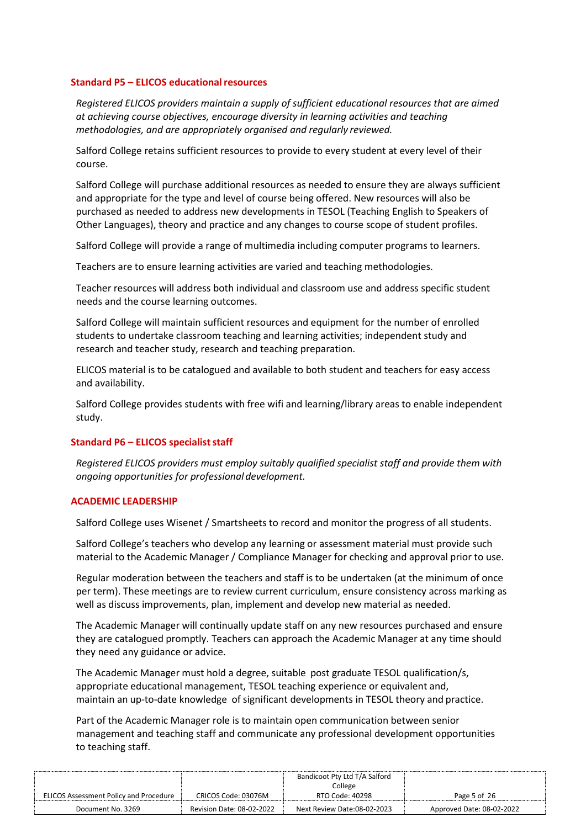#### **Standard P5 – ELICOS educationalresources**

*Registered ELICOS providers maintain a supply of sufficient educational resources that are aimed at achieving course objectives, encourage diversity in learning activities and teaching methodologies, and are appropriately organised and regularly reviewed.*

Salford College retains sufficient resources to provide to every student at every level of their course.

Salford College will purchase additional resources as needed to ensure they are always sufficient and appropriate for the type and level of course being offered. New resources will also be purchased as needed to address new developments in TESOL (Teaching English to Speakers of Other Languages), theory and practice and any changes to course scope of student profiles.

Salford College will provide a range of multimedia including computer programs to learners.

Teachers are to ensure learning activities are varied and teaching methodologies.

Teacher resources will address both individual and classroom use and address specific student needs and the course learning outcomes.

Salford College will maintain sufficient resources and equipment for the number of enrolled students to undertake classroom teaching and learning activities; independent study and research and teacher study, research and teaching preparation.

ELICOS material is to be catalogued and available to both student and teachers for easy access and availability.

Salford College provides students with free wifi and learning/library areas to enable independent study.

## **Standard P6 – ELICOS specialist staff**

*Registered ELICOS providers must employ suitably qualified specialist staff and provide them with ongoing opportunities for professional development.*

#### **ACADEMIC LEADERSHIP**

Salford College uses Wisenet / Smartsheets to record and monitor the progress of all students.

Salford College's teachers who develop any learning or assessment material must provide such material to the Academic Manager / Compliance Manager for checking and approval prior to use.

Regular moderation between the teachers and staff is to be undertaken (at the minimum of once per term). These meetings are to review current curriculum, ensure consistency across marking as well as discuss improvements, plan, implement and develop new material as needed.

The Academic Manager will continually update staff on any new resources purchased and ensure they are catalogued promptly. Teachers can approach the Academic Manager at any time should they need any guidance or advice.

The Academic Manager must hold a degree, suitable post graduate TESOL qualification/s, appropriate educational management, TESOL teaching experience or equivalent and, maintain an up-to-date knowledge of significant developments in TESOL theory and practice.

Part of the Academic Manager role is to maintain open communication between senior management and teaching staff and communicate any professional development opportunities to teaching staff.

|                                               |                           | Bandicoot Pty Ltd T/A Salford |                           |
|-----------------------------------------------|---------------------------|-------------------------------|---------------------------|
|                                               |                           | College                       |                           |
| <b>ELICOS Assessment Policy and Procedure</b> | CRICOS Code: 03076M       | RTO Code: 40298               | Page 5 of 26              |
| Document No. 3269                             | Revision Date: 08-02-2022 | Next Review Date:08-02-2023   | Approved Date: 08-02-2022 |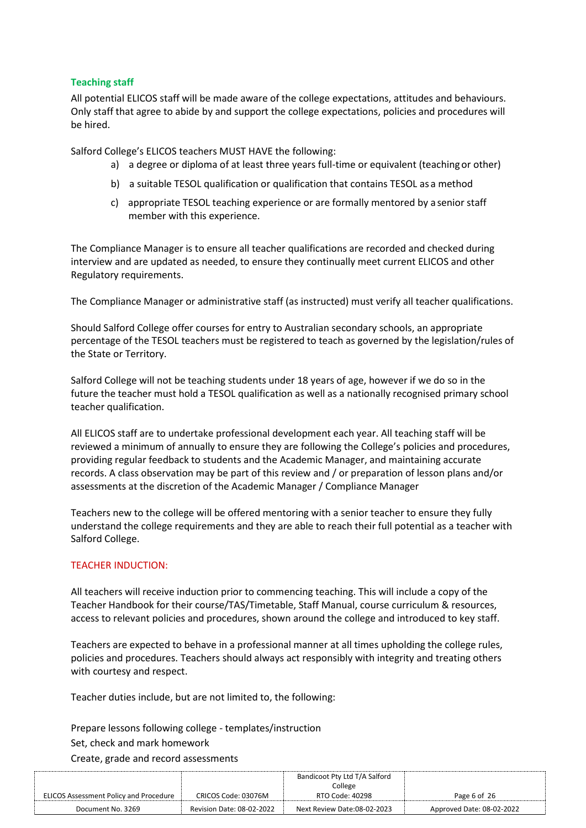## **Teaching staff**

All potential ELICOS staff will be made aware of the college expectations, attitudes and behaviours. Only staff that agree to abide by and support the college expectations, policies and procedures will be hired.

Salford College's ELICOS teachers MUST HAVE the following:

- a) a degree or diploma of at least three years full-time or equivalent (teaching or other)
- b) a suitable TESOL qualification or qualification that contains TESOL as a method
- c) appropriate TESOL teaching experience or are formally mentored by a senior staff member with this experience.

The Compliance Manager is to ensure all teacher qualifications are recorded and checked during interview and are updated as needed, to ensure they continually meet current ELICOS and other Regulatory requirements.

The Compliance Manager or administrative staff (as instructed) must verify all teacher qualifications.

Should Salford College offer courses for entry to Australian secondary schools, an appropriate percentage of the TESOL teachers must be registered to teach as governed by the legislation/rules of the State or Territory.

Salford College will not be teaching students under 18 years of age, however if we do so in the future the teacher must hold a TESOL qualification as well as a nationally recognised primary school teacher qualification.

All ELICOS staff are to undertake professional development each year. All teaching staff will be reviewed a minimum of annually to ensure they are following the College's policies and procedures, providing regular feedback to students and the Academic Manager, and maintaining accurate records. A class observation may be part of this review and / or preparation of lesson plans and/or assessments at the discretion of the Academic Manager / Compliance Manager

Teachers new to the college will be offered mentoring with a senior teacher to ensure they fully understand the college requirements and they are able to reach their full potential as a teacher with Salford College.

# TEACHER INDUCTION:

All teachers will receive induction prior to commencing teaching. This will include a copy of the Teacher Handbook for their course/TAS/Timetable, Staff Manual, course curriculum & resources, access to relevant policies and procedures, shown around the college and introduced to key staff.

Teachers are expected to behave in a professional manner at all times upholding the college rules, policies and procedures. Teachers should always act responsibly with integrity and treating others with courtesy and respect.

Teacher duties include, but are not limited to, the following:

Prepare lessons following college - templates/instruction

## Set, check and mark homework

Create, grade and record assessments

|                                               |                           | Bandicoot Pty Ltd T/A Salford |                           |
|-----------------------------------------------|---------------------------|-------------------------------|---------------------------|
|                                               |                           | College                       |                           |
| <b>ELICOS Assessment Policy and Procedure</b> | CRICOS Code: 03076M       | RTO Code: 40298               | Page 6 of 26              |
| Document No. 3269                             | Revision Date: 08-02-2022 | Next Review Date:08-02-2023   | Approved Date: 08-02-2022 |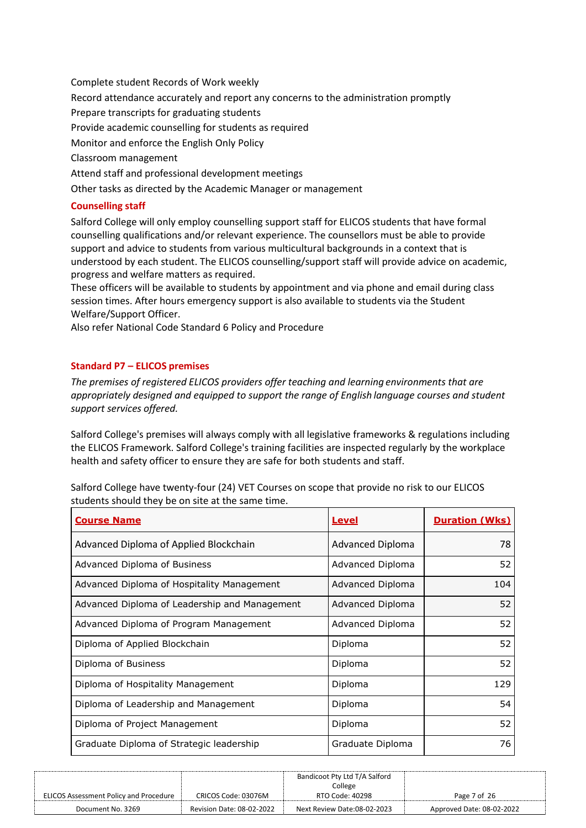Complete student Records of Work weekly Record attendance accurately and report any concerns to the administration promptly Prepare transcripts for graduating students Provide academic counselling for students as required Monitor and enforce the English Only Policy Classroom management Attend staff and professional development meetings Other tasks as directed by the Academic Manager or management

# **Counselling staff**

Salford College will only employ counselling support staff for ELICOS students that have formal counselling qualifications and/or relevant experience. The counsellors must be able to provide support and advice to students from various multicultural backgrounds in a context that is understood by each student. The ELICOS counselling/support staff will provide advice on academic, progress and welfare matters as required.

These officers will be available to students by appointment and via phone and email during class session times. After hours emergency support is also available to students via the Student Welfare/Support Officer.

Also refer National Code Standard 6 Policy and Procedure

# **Standard P7 – ELICOS premises**

*The premises of registered ELICOS providers offer teaching and learning environments that are appropriately designed and equipped to support the range of English language courses and student support services offered.*

Salford College's premises will always comply with all legislative frameworks & regulations including the ELICOS Framework. Salford College's training facilities are inspected regularly by the workplace health and safety officer to ensure they are safe for both students and staff.

Salford College have twenty-four (24) VET Courses on scope that provide no risk to our ELICOS students should they be on site at the same time.

| <b>Course Name</b>                            | <u>Level</u>            | <b>Duration (Wks)</b> |
|-----------------------------------------------|-------------------------|-----------------------|
| Advanced Diploma of Applied Blockchain        | <b>Advanced Diploma</b> | 78                    |
| Advanced Diploma of Business                  | Advanced Diploma        | 52                    |
| Advanced Diploma of Hospitality Management    | Advanced Diploma        | 104                   |
| Advanced Diploma of Leadership and Management | Advanced Diploma        | 52                    |
| Advanced Diploma of Program Management        | Advanced Diploma        | 52                    |
| Diploma of Applied Blockchain                 | Diploma                 | 52                    |
| Diploma of Business                           | Diploma                 | 52                    |
| Diploma of Hospitality Management             | Diploma                 | 129                   |
| Diploma of Leadership and Management          | Diploma                 | 54                    |
| Diploma of Project Management                 | Diploma                 | 52                    |
| Graduate Diploma of Strategic leadership      | Graduate Diploma        | 76                    |

|                                        |                                  | Bandicoot Pty Ltd T/A Salford |                           |
|----------------------------------------|----------------------------------|-------------------------------|---------------------------|
|                                        |                                  | College                       |                           |
| ELICOS Assessment Policy and Procedure | CRICOS Code: 03076M              | RTO Code: 40298               | Page 7 of 26              |
| Document No. 3269                      | <b>Revision Date: 08-02-2022</b> | Next Review Date:08-02-2023   | Approved Date: 08-02-2022 |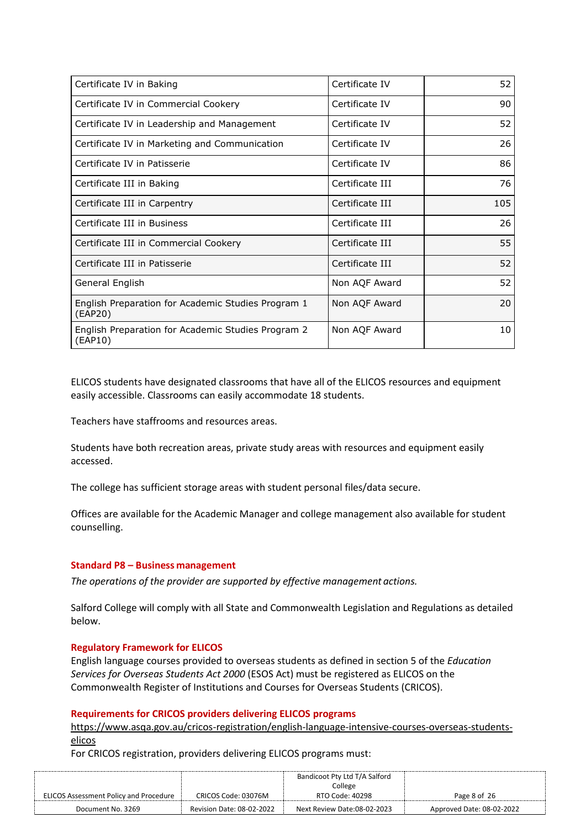| Certificate IV in Baking                                      | Certificate IV  | 52  |
|---------------------------------------------------------------|-----------------|-----|
| Certificate IV in Commercial Cookery                          | Certificate IV  | 90  |
| Certificate IV in Leadership and Management                   | Certificate IV  | 52  |
| Certificate IV in Marketing and Communication                 | Certificate IV  | 26  |
| Certificate IV in Patisserie                                  | Certificate IV  | 86  |
| Certificate III in Baking                                     | Certificate III | 76  |
| Certificate III in Carpentry                                  | Certificate III | 105 |
| Certificate III in Business                                   | Certificate III | 26  |
| Certificate III in Commercial Cookery                         | Certificate III | 55  |
| Certificate III in Patisserie                                 | Certificate III | 52  |
| General English                                               | Non AQF Award   | 52  |
| English Preparation for Academic Studies Program 1<br>(EAP20) | Non AQF Award   | 20  |
| English Preparation for Academic Studies Program 2<br>(EAP10) | Non AQF Award   | 10  |

ELICOS students have designated classrooms that have all of the ELICOS resources and equipment easily accessible. Classrooms can easily accommodate 18 students.

Teachers have staffrooms and resources areas.

Students have both recreation areas, private study areas with resources and equipment easily accessed.

The college has sufficient storage areas with student personal files/data secure.

Offices are available for the Academic Manager and college management also available for student counselling.

## **Standard P8 – Business management**

*The operations of the provider are supported by effective management actions.*

Salford College will comply with all State and Commonwealth Legislation and Regulations as detailed below.

## **Regulatory Framework for ELICOS**

English language courses provided to overseas students as defined in section 5 of the *Education Services for Overseas Students Act 2000* (ESOS Act) must be registered as ELICOS on the Commonwealth Register of Institutions and Courses for Overseas Students (CRICOS).

#### **Requirements for CRICOS providers delivering ELICOS programs**

[https://www.asqa.gov.au/cricos-registration/english-language-intensive-courses-overseas-students](https://www.asqa.gov.au/cricos-registration/english-language-intensive-courses-overseas-students-elicos)[elicos](https://www.asqa.gov.au/cricos-registration/english-language-intensive-courses-overseas-students-elicos)

For CRICOS registration, providers delivering ELICOS programs must:

|                                               |                           | Bandicoot Pty Ltd T/A Salford |                           |
|-----------------------------------------------|---------------------------|-------------------------------|---------------------------|
|                                               |                           | College                       |                           |
| <b>ELICOS Assessment Policy and Procedure</b> | CRICOS Code: 03076M       | RTO Code: 40298               | Page 8 of 26              |
| Document No. 3269                             | Revision Date: 08-02-2022 | Next Review Date:08-02-2023   | Approved Date: 08-02-2022 |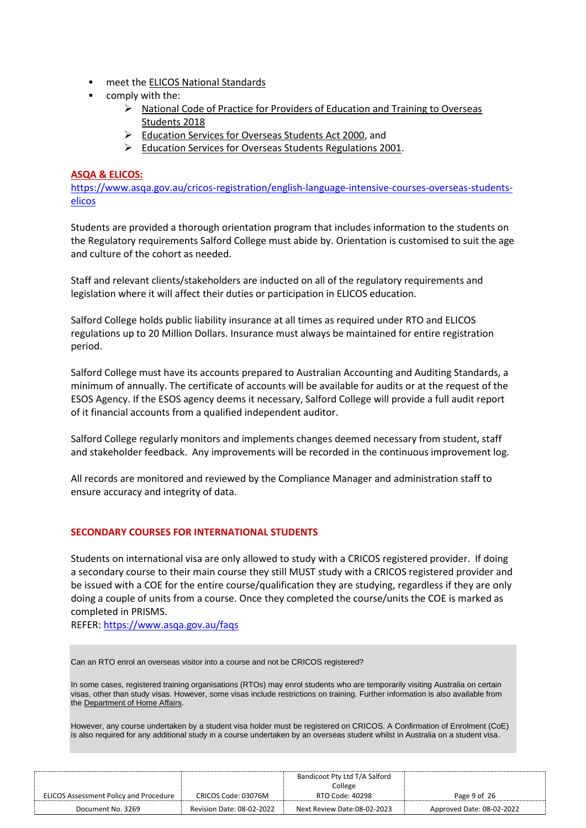- meet the [ELICOS National Standards](https://internationaleducation.gov.au/Regulatory-Information/Education-Services-for-Overseas-Students-ESOS-Legislative-Framework/ELICOSnationalstandards/Pages/Default.aspx)
- comply with the:
	- ➢ [National Code of Practice for Providers of Education and Training to Overseas](https://www.legislation.gov.au/Details/F2017L01182)  [Students 2018](https://www.legislation.gov.au/Details/F2017L01182)
	- ➢ [Education Services for Overseas Students Act 2000,](http://www.comlaw.gov.au/Details/C2014C00350) and
	- ➢ [Education Services for Overseas Students Regulations 2001.](http://www.comlaw.gov.au/Details/F2012C00430)

#### **ASQA & ELICOS:**

[https://www.asqa.gov.au/cricos-registration/english-language-intensive-courses-overseas-students](https://www.asqa.gov.au/cricos-registration/english-language-intensive-courses-overseas-students-elicos)[elicos](https://www.asqa.gov.au/cricos-registration/english-language-intensive-courses-overseas-students-elicos)

Students are provided a thorough orientation program that includes information to the students on the Regulatory requirements Salford College must abide by. Orientation is customised to suit the age and culture of the cohort as needed.

Staff and relevant clients/stakeholders are inducted on all of the regulatory requirements and legislation where it will affect their duties or participation in ELICOS education.

Salford College holds public liability insurance at all times as required under RTO and ELICOS regulations up to 20 Million Dollars. Insurance must always be maintained for entire registration period.

Salford College must have its accounts prepared to Australian Accounting and Auditing Standards, a minimum of annually. The certificate of accounts will be available for audits or at the request of the ESOS Agency. If the ESOS agency deems it necessary, Salford College will provide a full audit report of it financial accounts from a qualified independent auditor.

Salford College regularly monitors and implements changes deemed necessary from student, staff and stakeholder feedback. Any improvements will be recorded in the continuous improvement log.

All records are monitored and reviewed by the Compliance Manager and administration staff to ensure accuracy and integrity of data.

## **SECONDARY COURSES FOR INTERNATIONAL STUDENTS**

Students on international visa are only allowed to study with a CRICOS registered provider. If doing a secondary course to their main course they still MUST study with a CRICOS registered provider and be issued with a COE for the entire course/qualification they are studying, regardless if they are only doing a couple of units from a course. Once they completed the course/units the COE is marked as completed in PRISMS.

REFER:<https://www.asqa.gov.au/faqs>

Can an RTO enrol an overseas visitor into a course and not be CRICOS registered?

In some cases, registered training organisations (RTOs) may enrol students who are temporarily visiting Australia on certain visas, other than study visas. However, some visas include restrictions on training. Further information is also available from the [Department of Home Affairs.](http://www.homeaffairs.gov.au/busi/visas-and-migration/education-providers)

However, any course undertaken by a student visa holder must be registered on CRICOS. A Confirmation of Enrolment (CoE) is also required for any additional study in a course undertaken by an overseas student whilst in Australia on a student visa.

|                                               |                                  | Bandicoot Pty Ltd T/A Salford |                           |
|-----------------------------------------------|----------------------------------|-------------------------------|---------------------------|
|                                               |                                  | College                       |                           |
| <b>ELICOS Assessment Policy and Procedure</b> | CRICOS Code: 03076M              | RTO Code: 40298               | Page 9 of 26              |
| Document No. 3269                             | <b>Revision Date: 08-02-2022</b> | Next Review Date:08-02-2023   | Approved Date: 08-02-2022 |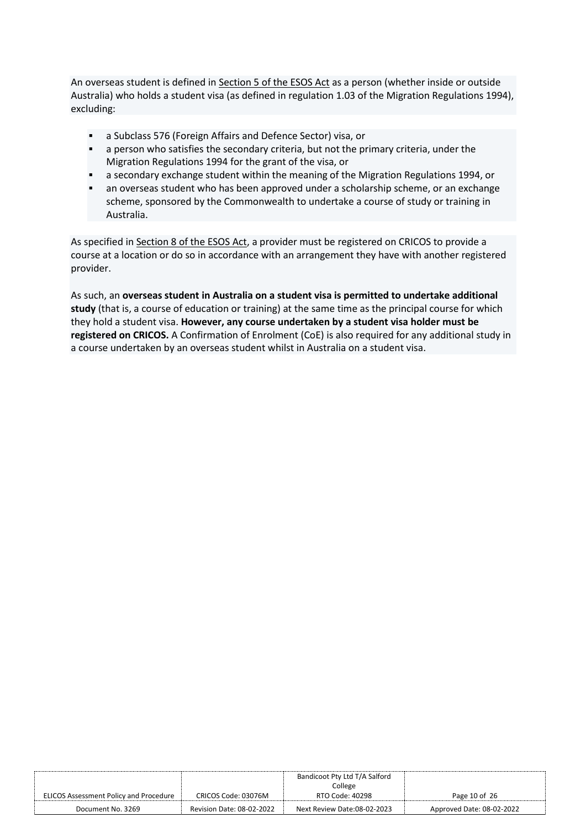An overseas student is defined in [Section 5 of the ESOS Act](http://www.comlaw.gov.au/Details/C2014C00350/Download) as a person (whether inside or outside Australia) who holds a student visa (as defined in regulation 1.03 of the Migration Regulations 1994), excluding:

- a Subclass 576 (Foreign Affairs and Defence Sector) visa, or
- **•** a person who satisfies the secondary criteria, but not the primary criteria, under the Migration Regulations 1994 for the grant of the visa, or
- **■** a secondary exchange student within the meaning of the Migration Regulations 1994, or
- an overseas student who has been approved under a scholarship scheme, or an exchange scheme, sponsored by the Commonwealth to undertake a course of study or training in Australia.

As specified in [Section 8 of the ESOS Act,](http://www.comlaw.gov.au/Details/C2014C00350/Download) a provider must be registered on CRICOS to provide a course at a location or do so in accordance with an arrangement they have with another registered provider.

As such, an **overseas student in Australia on a student visa is permitted to undertake additional study** (that is, a course of education or training) at the same time as the principal course for which they hold a student visa. **However, any course undertaken by a student visa holder must be registered on CRICOS.** A Confirmation of Enrolment (CoE) is also required for any additional study in a course undertaken by an overseas student whilst in Australia on a student visa.

|                                        |                           | Bandicoot Pty Ltd T/A Salford |                           |
|----------------------------------------|---------------------------|-------------------------------|---------------------------|
|                                        |                           | College                       |                           |
| ELICOS Assessment Policy and Procedure | CRICOS Code: 03076M       | RTO Code: 40298               | Page 10 of 26             |
| Document No. 3269                      | Revision Date: 08-02-2022 | Next Review Date:08-02-2023   | Approved Date: 08-02-2022 |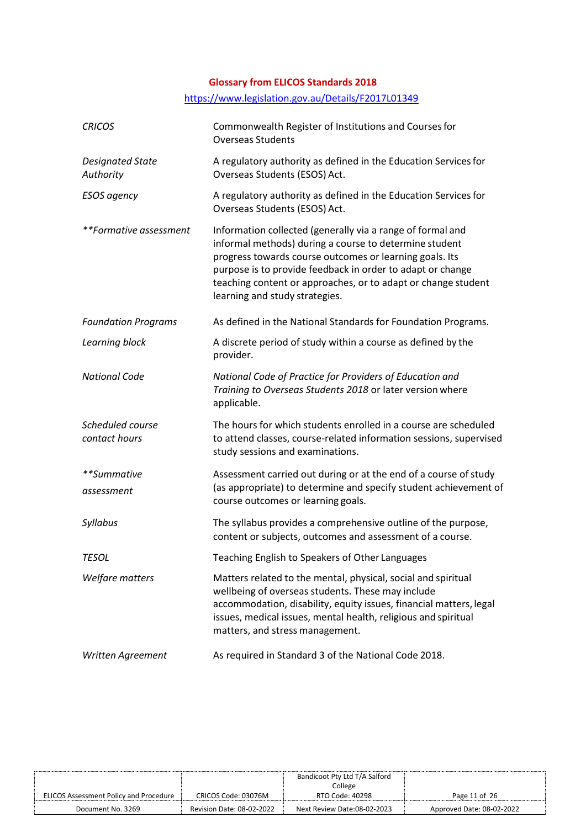# **Glossary from ELICOS Standards 2018**

# <https://www.legislation.gov.au/Details/F2017L01349>

| <b>CRICOS</b>                        | Commonwealth Register of Institutions and Courses for<br><b>Overseas Students</b>                                                                                                                                                                                                                                                                |
|--------------------------------------|--------------------------------------------------------------------------------------------------------------------------------------------------------------------------------------------------------------------------------------------------------------------------------------------------------------------------------------------------|
| <b>Designated State</b><br>Authority | A regulatory authority as defined in the Education Services for<br>Overseas Students (ESOS) Act.                                                                                                                                                                                                                                                 |
| <b>ESOS</b> agency                   | A regulatory authority as defined in the Education Services for<br>Overseas Students (ESOS) Act.                                                                                                                                                                                                                                                 |
| **Formative assessment               | Information collected (generally via a range of formal and<br>informal methods) during a course to determine student<br>progress towards course outcomes or learning goals. Its<br>purpose is to provide feedback in order to adapt or change<br>teaching content or approaches, or to adapt or change student<br>learning and study strategies. |
| <b>Foundation Programs</b>           | As defined in the National Standards for Foundation Programs.                                                                                                                                                                                                                                                                                    |
| Learning block                       | A discrete period of study within a course as defined by the<br>provider.                                                                                                                                                                                                                                                                        |
| <b>National Code</b>                 | National Code of Practice for Providers of Education and<br>Training to Overseas Students 2018 or later version where<br>applicable.                                                                                                                                                                                                             |
| Scheduled course<br>contact hours    | The hours for which students enrolled in a course are scheduled<br>to attend classes, course-related information sessions, supervised<br>study sessions and examinations.                                                                                                                                                                        |
| **Summative<br>assessment            | Assessment carried out during or at the end of a course of study<br>(as appropriate) to determine and specify student achievement of<br>course outcomes or learning goals.                                                                                                                                                                       |
| Syllabus                             | The syllabus provides a comprehensive outline of the purpose,<br>content or subjects, outcomes and assessment of a course.                                                                                                                                                                                                                       |
| <b>TESOL</b>                         | Teaching English to Speakers of Other Languages                                                                                                                                                                                                                                                                                                  |
| Welfare matters                      | Matters related to the mental, physical, social and spiritual<br>wellbeing of overseas students. These may include<br>accommodation, disability, equity issues, financial matters, legal<br>issues, medical issues, mental health, religious and spiritual<br>matters, and stress management.                                                    |
| Written Agreement                    | As required in Standard 3 of the National Code 2018.                                                                                                                                                                                                                                                                                             |

|                                               |                                  | Bandicoot Pty Ltd T/A Salford |                           |
|-----------------------------------------------|----------------------------------|-------------------------------|---------------------------|
|                                               |                                  | College                       |                           |
| <b>ELICOS Assessment Policy and Procedure</b> | CRICOS Code: 03076M              | RTO Code: 40298               | Page 11 of 26             |
| Document No. 3269                             | <b>Revision Date: 08-02-2022</b> | Next Review Date:08-02-2023   | Approved Date: 08-02-2022 |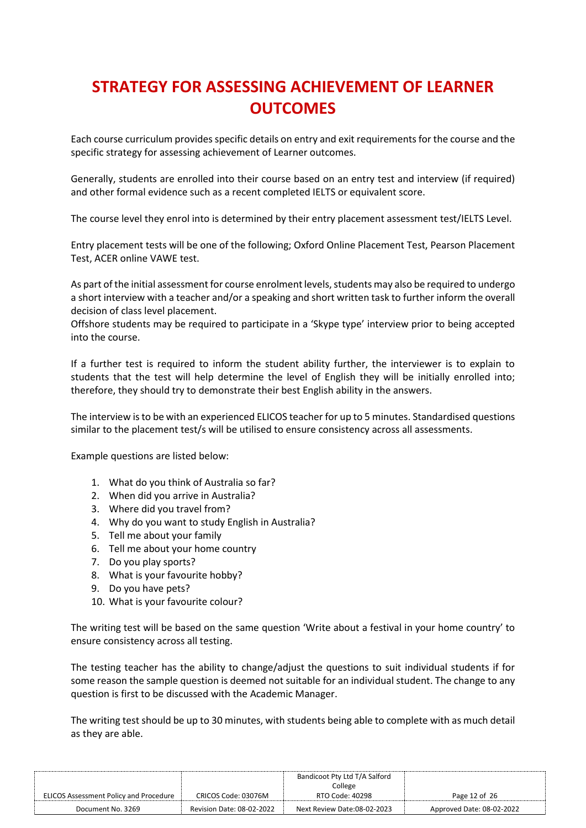# **STRATEGY FOR ASSESSING ACHIEVEMENT OF LEARNER OUTCOMES**

Each course curriculum provides specific details on entry and exit requirements for the course and the specific strategy for assessing achievement of Learner outcomes.

Generally, students are enrolled into their course based on an entry test and interview (if required) and other formal evidence such as a recent completed IELTS or equivalent score.

The course level they enrol into is determined by their entry placement assessment test/IELTS Level.

Entry placement tests will be one of the following; Oxford Online Placement Test, Pearson Placement Test, ACER online VAWE test.

As part of the initial assessment for course enrolment levels, students may also be required to undergo a short interview with a teacher and/or a speaking and short written task to further inform the overall decision of class level placement.

Offshore students may be required to participate in a 'Skype type' interview prior to being accepted into the course.

If a further test is required to inform the student ability further, the interviewer is to explain to students that the test will help determine the level of English they will be initially enrolled into; therefore, they should try to demonstrate their best English ability in the answers.

The interview is to be with an experienced ELICOS teacher for up to 5 minutes. Standardised questions similar to the placement test/s will be utilised to ensure consistency across all assessments.

Example questions are listed below:

- 1. What do you think of Australia so far?
- 2. When did you arrive in Australia?
- 3. Where did you travel from?
- 4. Why do you want to study English in Australia?
- 5. Tell me about your family
- 6. Tell me about your home country
- 7. Do you play sports?
- 8. What is your favourite hobby?
- 9. Do you have pets?
- 10. What is your favourite colour?

The writing test will be based on the same question 'Write about a festival in your home country' to ensure consistency across all testing.

The testing teacher has the ability to change/adjust the questions to suit individual students if for some reason the sample question is deemed not suitable for an individual student. The change to any question is first to be discussed with the Academic Manager.

The writing test should be up to 30 minutes, with students being able to complete with as much detail as they are able.

|                                               |                           | Bandicoot Pty Ltd T/A Salford |                           |
|-----------------------------------------------|---------------------------|-------------------------------|---------------------------|
|                                               |                           | College                       |                           |
| <b>ELICOS Assessment Policy and Procedure</b> | CRICOS Code: 03076M       | RTO Code: 40298               | Page 12 of 26             |
| Document No. 3269                             | Revision Date: 08-02-2022 | Next Review Date:08-02-2023   | Approved Date: 08-02-2022 |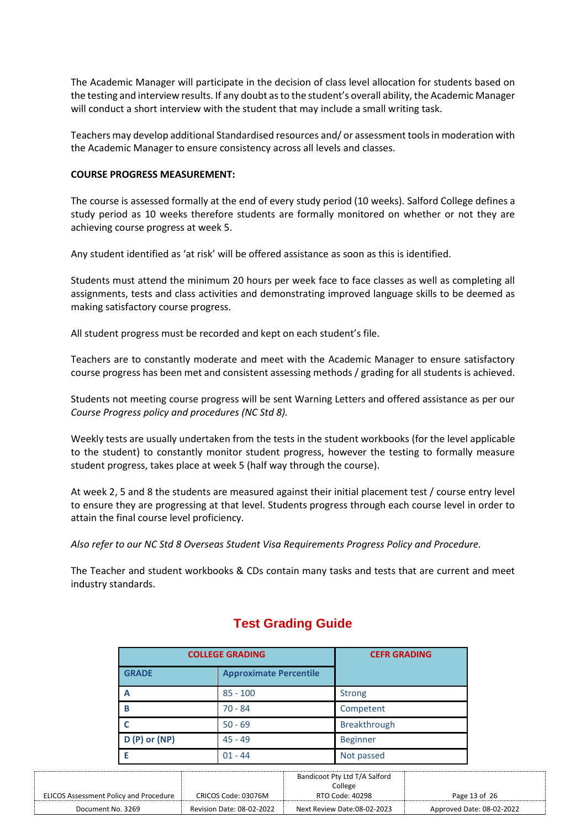The Academic Manager will participate in the decision of class level allocation for students based on the testing and interview results. If any doubt as to the student's overall ability, the Academic Manager will conduct a short interview with the student that may include a small writing task.

Teachers may develop additional Standardised resources and/ or assessment tools in moderation with the Academic Manager to ensure consistency across all levels and classes.

## **COURSE PROGRESS MEASUREMENT:**

The course is assessed formally at the end of every study period (10 weeks). Salford College defines a study period as 10 weeks therefore students are formally monitored on whether or not they are achieving course progress at week 5.

Any student identified as 'at risk' will be offered assistance as soon as this is identified.

Students must attend the minimum 20 hours per week face to face classes as well as completing all assignments, tests and class activities and demonstrating improved language skills to be deemed as making satisfactory course progress.

All student progress must be recorded and kept on each student's file.

Teachers are to constantly moderate and meet with the Academic Manager to ensure satisfactory course progress has been met and consistent assessing methods / grading for all students is achieved.

Students not meeting course progress will be sent Warning Letters and offered assistance as per our *Course Progress policy and procedures (NC Std 8).*

Weekly tests are usually undertaken from the tests in the student workbooks (for the level applicable to the student) to constantly monitor student progress, however the testing to formally measure student progress, takes place at week 5 (half way through the course).

At week 2, 5 and 8 the students are measured against their initial placement test / course entry level to ensure they are progressing at that level. Students progress through each course level in order to attain the final course level proficiency.

*Also refer to our NC Std 8 Overseas Student Visa Requirements Progress Policy and Procedure.*

The Teacher and student workbooks & CDs contain many tasks and tests that are current and meet industry standards.

|                                               | <b>COLLEGE GRADING</b> |                     |
|-----------------------------------------------|------------------------|---------------------|
| <b>GRADE</b><br><b>Approximate Percentile</b> |                        |                     |
| A                                             | $85 - 100$             | <b>Strong</b>       |
| B                                             | $70 - 84$              | Competent           |
|                                               | $50 - 69$              | <b>Breakthrough</b> |
| $D(P)$ or (NP)                                | $45 - 49$              | <b>Beginner</b>     |
| F                                             | $01 - 44$              | Not passed          |

# **Test Grading Guide**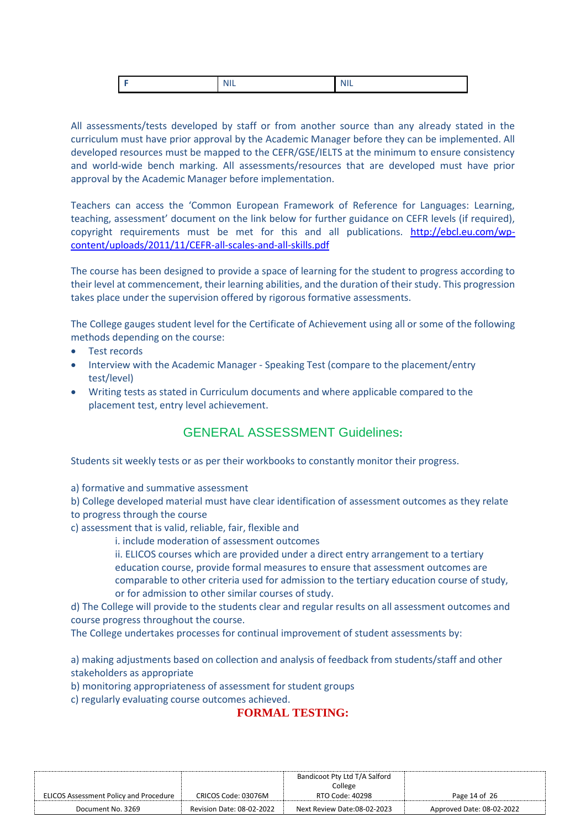|--|--|--|--|

All assessments/tests developed by staff or from another source than any already stated in the curriculum must have prior approval by the Academic Manager before they can be implemented. All developed resources must be mapped to the CEFR/GSE/IELTS at the minimum to ensure consistency and world-wide bench marking. All assessments/resources that are developed must have prior approval by the Academic Manager before implementation.

Teachers can access the 'Common European Framework of Reference for Languages: Learning, teaching, assessment' document on the link below for further guidance on CEFR levels (if required), copyright requirements must be met for this and all publications. [http://ebcl.eu.com/wp](http://ebcl.eu.com/wp-content/uploads/2011/11/CEFR-all-scales-and-all-skills.pdf)[content/uploads/2011/11/CEFR-all-scales-and-all-skills.pdf](http://ebcl.eu.com/wp-content/uploads/2011/11/CEFR-all-scales-and-all-skills.pdf)

The course has been designed to provide a space of learning for the student to progress according to their level at commencement, their learning abilities, and the duration of their study. This progression takes place under the supervision offered by rigorous formative assessments.

The College gauges student level for the Certificate of Achievement using all or some of the following methods depending on the course:

- Test records
- Interview with the Academic Manager Speaking Test (compare to the placement/entry test/level)
- Writing tests as stated in Curriculum documents and where applicable compared to the placement test, entry level achievement.

# GENERAL ASSESSMENT Guidelines**:**

Students sit weekly tests or as per their workbooks to constantly monitor their progress.

a) formative and summative assessment

b) College developed material must have clear identification of assessment outcomes as they relate to progress through the course

- c) assessment that is valid, reliable, fair, flexible and
	- i. include moderation of assessment outcomes

ii. ELICOS courses which are provided under a direct entry arrangement to a tertiary education course, provide formal measures to ensure that assessment outcomes are comparable to other criteria used for admission to the tertiary education course of study, or for admission to other similar courses of study.

d) The College will provide to the students clear and regular results on all assessment outcomes and course progress throughout the course.

The College undertakes processes for continual improvement of student assessments by:

a) making adjustments based on collection and analysis of feedback from students/staff and other stakeholders as appropriate

b) monitoring appropriateness of assessment for student groups

c) regularly evaluating course outcomes achieved.

# **FORMAL TESTING:**

|                                               |                                  | Bandicoot Pty Ltd T/A Salford |                           |
|-----------------------------------------------|----------------------------------|-------------------------------|---------------------------|
|                                               |                                  | College                       |                           |
| <b>ELICOS Assessment Policy and Procedure</b> | CRICOS Code: 03076M              | RTO Code: 40298               | Page 14 of 26             |
| Document No. 3269                             | <b>Revision Date: 08-02-2022</b> | Next Review Date:08-02-2023   | Approved Date: 08-02-2022 |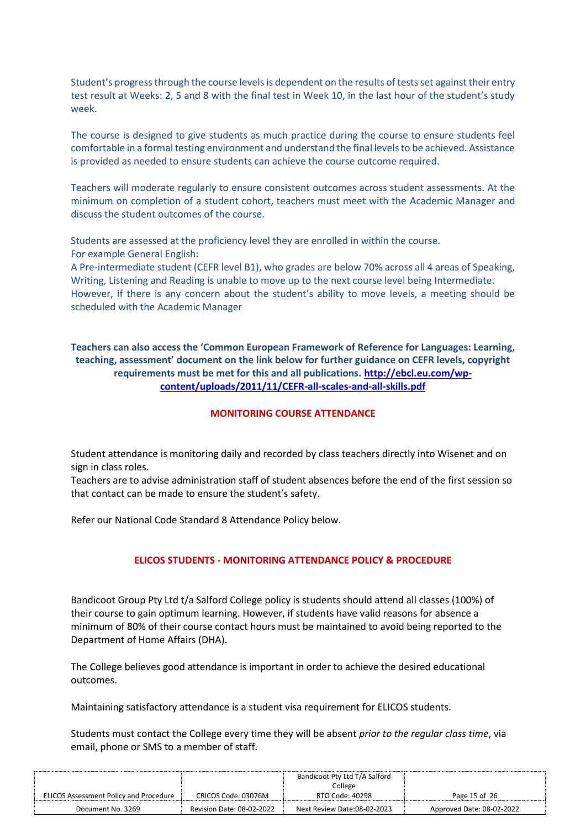Student's progress through the course levels is dependent on the results of tests set against their entry test result at Weeks: 2, 5 and 8 with the final test in Week 10, in the last hour of the student's study week.

The course is designed to give students as much practice during the course to ensure students feel comfortable in a formal testing environment and understand the final levels to be achieved. Assistance is provided as needed to ensure students can achieve the course outcome required.

Teachers will moderate regularly to ensure consistent outcomes across student assessments. At the minimum on completion of a student cohort, teachers must meet with the Academic Manager and discuss the student outcomes of the course.

Students are assessed at the proficiency level they are enrolled in within the course. For example General English:

A Pre-intermediate student (CEFR level B1), who grades are below 70% across all 4 areas of Speaking, Writing, Listening and Reading is unable to move up to the next course level being Intermediate. However, if there is any concern about the student's ability to move levels, a meeting should be scheduled with the Academic Manager

**Teachers can also access the 'Common European Framework of Reference for Languages: Learning, teaching, assessment' document on the link below for further guidance on CEFR levels, copyright requirements must be met for this and all publications. [http://ebcl.eu.com/wp](http://ebcl.eu.com/wp-content/uploads/2011/11/CEFR-all-scales-and-all-skills.pdf)[content/uploads/2011/11/CEFR-all-scales-and-all-skills.pdf](http://ebcl.eu.com/wp-content/uploads/2011/11/CEFR-all-scales-and-all-skills.pdf)**

## **MONITORING COURSE ATTENDANCE**

Student attendance is monitoring daily and recorded by class teachers directly into Wisenet and on sign in class roles.

Teachers are to advise administration staff of student absences before the end of the first session so that contact can be made to ensure the student's safety.

Refer our National Code Standard 8 Attendance Policy below.

## **ELICOS STUDENTS - MONITORING ATTENDANCE POLICY & PROCEDURE**

Bandicoot Group Pty Ltd t/a Salford College policy is students should attend all classes (100%) of their course to gain optimum learning. However, if students have valid reasons for absence a minimum of 80% of their course contact hours must be maintained to avoid being reported to the Department of Home Affairs (DHA).

The College believes good attendance is important in order to achieve the desired educational outcomes.

Maintaining satisfactory attendance is a student visa requirement for ELICOS students.

Students must contact the College every time they will be absent *prior to the regular class time*, via email, phone or SMS to a member of staff.

|                                               |                           | Bandicoot Pty Ltd T/A Salford |                           |
|-----------------------------------------------|---------------------------|-------------------------------|---------------------------|
|                                               |                           | College                       |                           |
| <b>ELICOS Assessment Policy and Procedure</b> | CRICOS Code: 03076M       | RTO Code: 40298               | Page 15 of 26             |
| Document No. 3269                             | Revision Date: 08-02-2022 | Next Review Date:08-02-2023   | Approved Date: 08-02-2022 |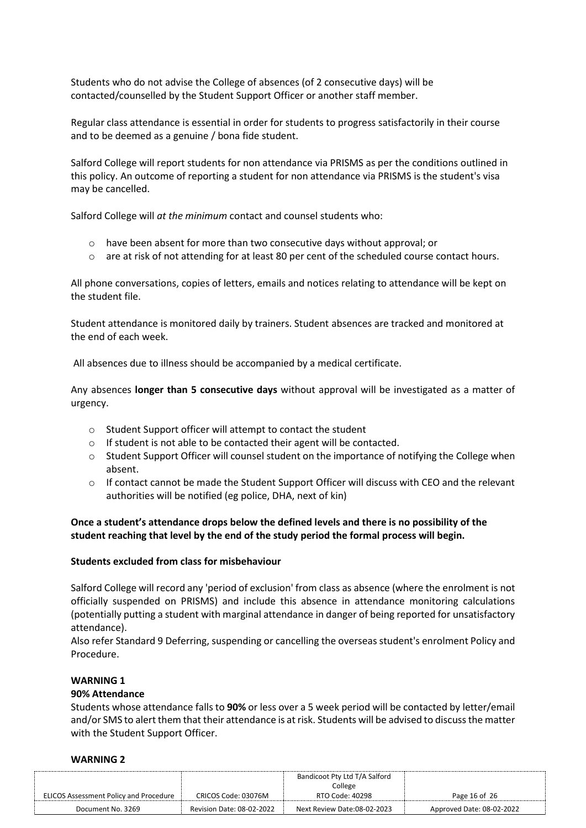Students who do not advise the College of absences (of 2 consecutive days) will be contacted/counselled by the Student Support Officer or another staff member.

Regular class attendance is essential in order for students to progress satisfactorily in their course and to be deemed as a genuine / bona fide student.

Salford College will report students for non attendance via PRISMS as per the conditions outlined in this policy. An outcome of reporting a student for non attendance via PRISMS is the student's visa may be cancelled.

Salford College will *at the minimum* contact and counsel students who:

- o have been absent for more than two consecutive days without approval; or
- $\circ$  are at risk of not attending for at least 80 per cent of the scheduled course contact hours.

All phone conversations, copies of letters, emails and notices relating to attendance will be kept on the student file.

Student attendance is monitored daily by trainers. Student absences are tracked and monitored at the end of each week.

All absences due to illness should be accompanied by a medical certificate.

Any absences **longer than 5 consecutive days** without approval will be investigated as a matter of urgency.

- o Student Support officer will attempt to contact the student
- o If student is not able to be contacted their agent will be contacted.
- o Student Support Officer will counsel student on the importance of notifying the College when absent.
- $\circ$  If contact cannot be made the Student Support Officer will discuss with CEO and the relevant authorities will be notified (eg police, DHA, next of kin)

# **Once a student's attendance drops below the defined levels and there is no possibility of the student reaching that level by the end of the study period the formal process will begin.**

## **Students excluded from class for misbehaviour**

Salford College will record any 'period of exclusion' from class as absence (where the enrolment is not officially suspended on PRISMS) and include this absence in attendance monitoring calculations (potentially putting a student with marginal attendance in danger of being reported for unsatisfactory attendance).

Also refer Standard 9 Deferring, suspending or cancelling the overseas student's enrolment Policy and Procedure.

# **WARNING 1**

## **90% Attendance**

Students whose attendance falls to **90%** or less over a 5 week period will be contacted by letter/email and/or SMS to alert them that their attendance is at risk. Students will be advised to discuss the matter with the Student Support Officer.

## **WARNING 2**

|                                               |                           | Bandicoot Pty Ltd T/A Salford |                           |
|-----------------------------------------------|---------------------------|-------------------------------|---------------------------|
|                                               |                           | College                       |                           |
| <b>ELICOS Assessment Policy and Procedure</b> | CRICOS Code: 03076M       | RTO Code: 40298               | Page 16 of 26             |
| Document No. 3269                             | Revision Date: 08-02-2022 | Next Review Date:08-02-2023   | Approved Date: 08-02-2022 |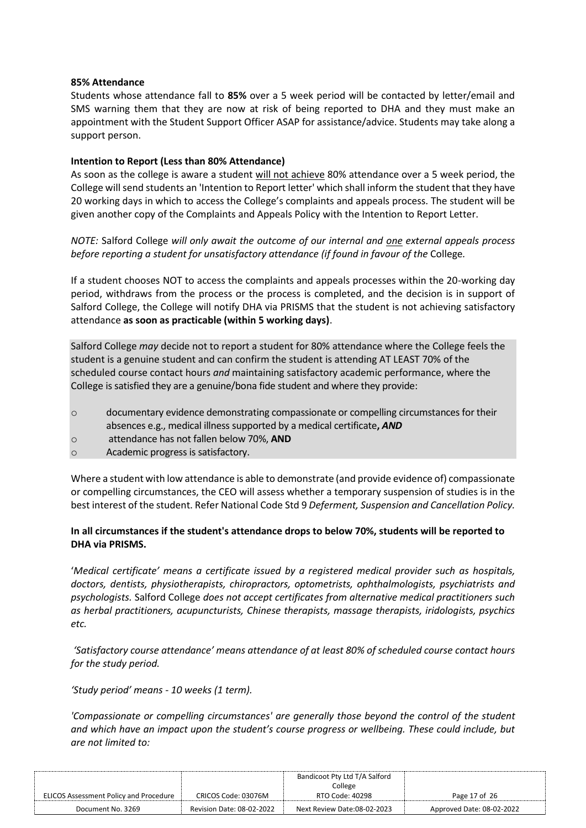#### **85% Attendance**

Students whose attendance fall to **85%** over a 5 week period will be contacted by letter/email and SMS warning them that they are now at risk of being reported to DHA and they must make an appointment with the Student Support Officer ASAP for assistance/advice. Students may take along a support person.

## **Intention to Report (Less than 80% Attendance)**

As soon as the college is aware a student will not achieve 80% attendance over a 5 week period, the College will send students an 'Intention to Report letter' which shall inform the student that they have 20 working days in which to access the College's complaints and appeals process. The student will be given another copy of the Complaints and Appeals Policy with the Intention to Report Letter.

*NOTE:* Salford College *will only await the outcome of our internal and one external appeals process before reporting a student for unsatisfactory attendance (if found in favour of the* College*.*

If a student chooses NOT to access the complaints and appeals processes within the 20-working day period, withdraws from the process or the process is completed, and the decision is in support of Salford College, the College will notify DHA via PRISMS that the student is not achieving satisfactory attendance **as soon as practicable (within 5 working days)**.

Salford College *may* decide not to report a student for 80% attendance where the College feels the student is a genuine student and can confirm the student is attending AT LEAST 70% of the scheduled course contact hours *and* maintaining satisfactory academic performance, where the College is satisfied they are a genuine/bona fide student and where they provide:

- o documentary evidence demonstrating compassionate or compelling circumstances for their absences e.g., medical illness supported by a medical certificate**,** *AND*
- o attendance has not fallen below 70%, **AND**
- o Academic progress is satisfactory.

Where a student with low attendance is able to demonstrate (and provide evidence of) compassionate or compelling circumstances, the CEO will assess whether a temporary suspension of studies is in the best interest of the student. Refer National Code Std 9 *Deferment, Suspension and Cancellation Policy.*

# **In all circumstances if the student's attendance drops to below 70%, students will be reported to DHA via PRISMS.**

'*Medical certificate' means a certificate issued by a registered medical provider such as hospitals, doctors, dentists, physiotherapists, chiropractors, optometrists, ophthalmologists, psychiatrists and psychologists.* Salford College *does not accept certificates from alternative medical practitioners such as herbal practitioners, acupuncturists, Chinese therapists, massage therapists, iridologists, psychics etc.*

*'Satisfactory course attendance' means attendance of at least 80% of scheduled course contact hours for the study period.*

*'Study period' means - 10 weeks (1 term).*

*'Compassionate or compelling circumstances' are generally those beyond the control of the student and which have an impact upon the student's course progress or wellbeing. These could include, but are not limited to:*

|                                               |                           | Bandicoot Pty Ltd T/A Salford |                           |
|-----------------------------------------------|---------------------------|-------------------------------|---------------------------|
|                                               |                           | College                       |                           |
| <b>ELICOS Assessment Policy and Procedure</b> | CRICOS Code: 03076M       | RTO Code: 40298               | Page 17 of 26             |
| Document No. 3269                             | Revision Date: 08-02-2022 | Next Review Date:08-02-2023   | Approved Date: 08-02-2022 |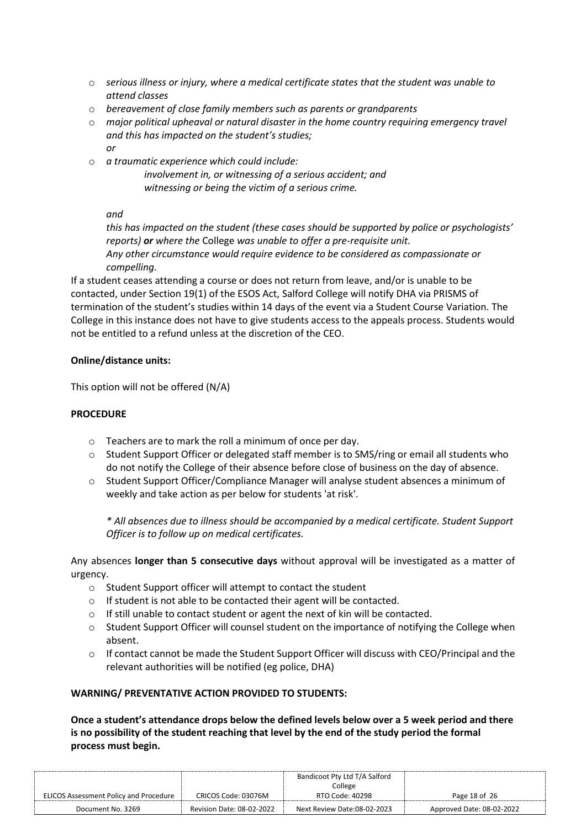- o *serious illness or injury, where a medical certificate states that the student was unable to attend classes*
- o *bereavement of close family members such as parents or grandparents*
- o *major political upheaval or natural disaster in the home country requiring emergency travel and this has impacted on the student's studies;* 
	- *or*
- o *a traumatic experience which could include:*

*involvement in, or witnessing of a serious accident; and witnessing or being the victim of a serious crime.*

*and* 

*this has impacted on the student (these cases should be supported by police or psychologists' reports) or where the* College *was unable to offer a pre-requisite unit. Any other circumstance would require evidence to be considered as compassionate or compelling.*

If a student ceases attending a course or does not return from leave, and/or is unable to be contacted, under Section 19(1) of the ESOS Act, Salford College will notify DHA via PRISMS of termination of the student's studies within 14 days of the event via a Student Course Variation. The College in this instance does not have to give students access to the appeals process. Students would not be entitled to a refund unless at the discretion of the CEO.

# **Online/distance units:**

This option will not be offered (N/A)

# **PROCEDURE**

- o Teachers are to mark the roll a minimum of once per day.
- $\circ$  Student Support Officer or delegated staff member is to SMS/ring or email all students who do not notify the College of their absence before close of business on the day of absence.
- o Student Support Officer/Compliance Manager will analyse student absences a minimum of weekly and take action as per below for students 'at risk'.

*\* All absences due to illness should be accompanied by a medical certificate. Student Support Officer is to follow up on medical certificates.*

Any absences **longer than 5 consecutive days** without approval will be investigated as a matter of urgency.

- o Student Support officer will attempt to contact the student
- o If student is not able to be contacted their agent will be contacted.
- o If still unable to contact student or agent the next of kin will be contacted.
- $\circ$  Student Support Officer will counsel student on the importance of notifying the College when absent.
- $\circ$  If contact cannot be made the Student Support Officer will discuss with CEO/Principal and the relevant authorities will be notified (eg police, DHA)

## **WARNING/ PREVENTATIVE ACTION PROVIDED TO STUDENTS:**

**Once a student's attendance drops below the defined levels below over a 5 week period and there is no possibility of the student reaching that level by the end of the study period the formal process must begin.**

|                                               |                           | Bandicoot Pty Ltd T/A Salford |                           |
|-----------------------------------------------|---------------------------|-------------------------------|---------------------------|
|                                               |                           | College                       |                           |
| <b>ELICOS Assessment Policy and Procedure</b> | CRICOS Code: 03076M       | RTO Code: 40298               | Page 18 of 26             |
| Document No. 3269                             | Revision Date: 08-02-2022 | Next Review Date:08-02-2023   | Approved Date: 08-02-2022 |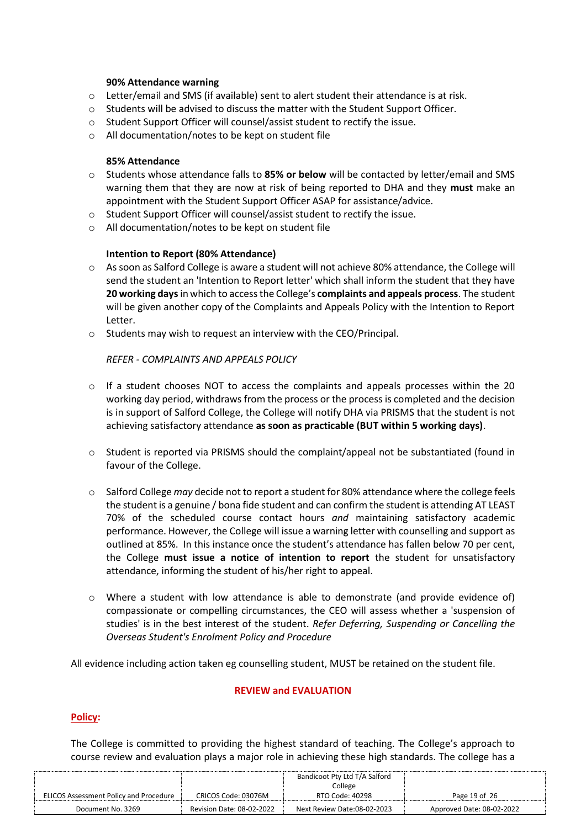#### **90% Attendance warning**

- o Letter/email and SMS (if available) sent to alert student their attendance is at risk.
- o Students will be advised to discuss the matter with the Student Support Officer.
- o Student Support Officer will counsel/assist student to rectify the issue.
- o All documentation/notes to be kept on student file

#### **85% Attendance**

- o Students whose attendance falls to **85% or below** will be contacted by letter/email and SMS warning them that they are now at risk of being reported to DHA and they **must** make an appointment with the Student Support Officer ASAP for assistance/advice.
- o Student Support Officer will counsel/assist student to rectify the issue.
- o All documentation/notes to be kept on student file

## **Intention to Report (80% Attendance)**

- $\circ$  As soon as Salford College is aware a student will not achieve 80% attendance, the College will send the student an 'Intention to Report letter' which shall inform the student that they have **20 working days**in which to access the College's **complaints and appeals process**. The student will be given another copy of the Complaints and Appeals Policy with the Intention to Report Letter.
- o Students may wish to request an interview with the CEO/Principal.

## *REFER - COMPLAINTS AND APPEALS POLICY*

- $\circ$  If a student chooses NOT to access the complaints and appeals processes within the 20 working day period, withdraws from the process or the process is completed and the decision is in support of Salford College, the College will notify DHA via PRISMS that the student is not achieving satisfactory attendance **as soon as practicable (BUT within 5 working days)**.
- o Student is reported via PRISMS should the complaint/appeal not be substantiated (found in favour of the College.
- o Salford College *may* decide not to report a student for 80% attendance where the college feels the student is a genuine / bona fide student and can confirm the student is attending AT LEAST 70% of the scheduled course contact hours *and* maintaining satisfactory academic performance. However, the College will issue a warning letter with counselling and support as outlined at 85%. In this instance once the student's attendance has fallen below 70 per cent, the College **must issue a notice of intention to report** the student for unsatisfactory attendance, informing the student of his/her right to appeal.
- $\circ$  Where a student with low attendance is able to demonstrate (and provide evidence of) compassionate or compelling circumstances, the CEO will assess whether a 'suspension of studies' is in the best interest of the student. *Refer Deferring, Suspending or Cancelling the Overseas Student's Enrolment Policy and Procedure*

All evidence including action taken eg counselling student, MUST be retained on the student file.

## **REVIEW and EVALUATION**

## **Policy:**

The College is committed to providing the highest standard of teaching. The College's approach to course review and evaluation plays a major role in achieving these high standards. The college has a

|                                               |                           | Bandicoot Pty Ltd T/A Salford |                           |
|-----------------------------------------------|---------------------------|-------------------------------|---------------------------|
|                                               |                           | College                       |                           |
| <b>ELICOS Assessment Policy and Procedure</b> | CRICOS Code: 03076M       | RTO Code: 40298               | Page 19 of 26             |
| Document No. 3269                             | Revision Date: 08-02-2022 | Next Review Date:08-02-2023   | Approved Date: 08-02-2022 |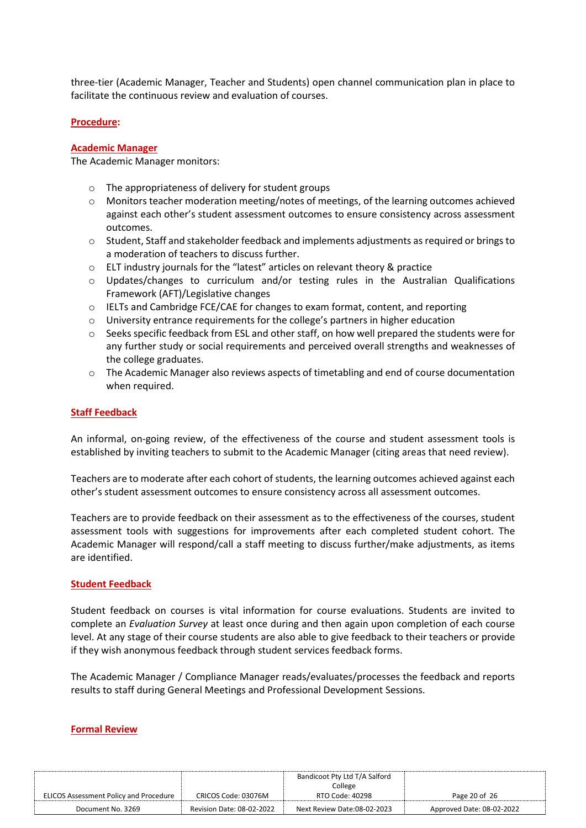three-tier (Academic Manager, Teacher and Students) open channel communication plan in place to facilitate the continuous review and evaluation of courses.

#### **Procedure:**

#### **Academic Manager**

The Academic Manager monitors:

- o The appropriateness of delivery for student groups
- $\circ$  Monitors teacher moderation meeting/notes of meetings, of the learning outcomes achieved against each other's student assessment outcomes to ensure consistency across assessment outcomes.
- o Student, Staff and stakeholder feedback and implements adjustments as required or brings to a moderation of teachers to discuss further.
- o ELT industry journals for the "latest" articles on relevant theory & practice
- o Updates/changes to curriculum and/or testing rules in the Australian Qualifications Framework (AFT)/Legislative changes
- o IELTs and Cambridge FCE/CAE for changes to exam format, content, and reporting
- $\circ$  University entrance requirements for the college's partners in higher education
- $\circ$  Seeks specific feedback from ESL and other staff, on how well prepared the students were for any further study or social requirements and perceived overall strengths and weaknesses of the college graduates.
- o The Academic Manager also reviews aspects of timetabling and end of course documentation when required.

#### **Staff Feedback**

An informal, on-going review, of the effectiveness of the course and student assessment tools is established by inviting teachers to submit to the Academic Manager (citing areas that need review).

Teachers are to moderate after each cohort of students, the learning outcomes achieved against each other's student assessment outcomes to ensure consistency across all assessment outcomes.

Teachers are to provide feedback on their assessment as to the effectiveness of the courses, student assessment tools with suggestions for improvements after each completed student cohort. The Academic Manager will respond/call a staff meeting to discuss further/make adjustments, as items are identified.

#### **Student Feedback**

Student feedback on courses is vital information for course evaluations. Students are invited to complete an *Evaluation Survey* at least once during and then again upon completion of each course level. At any stage of their course students are also able to give feedback to their teachers or provide if they wish anonymous feedback through student services feedback forms.

The Academic Manager / Compliance Manager reads/evaluates/processes the feedback and reports results to staff during General Meetings and Professional Development Sessions.

#### **Formal Review**

|                                               |                           | Bandicoot Pty Ltd T/A Salford |                           |
|-----------------------------------------------|---------------------------|-------------------------------|---------------------------|
|                                               |                           | College                       |                           |
| <b>ELICOS Assessment Policy and Procedure</b> | CRICOS Code: 03076M       | RTO Code: 40298               | Page 20 of 26             |
| Document No. 3269                             | Revision Date: 08-02-2022 | Next Review Date:08-02-2023   | Approved Date: 08-02-2022 |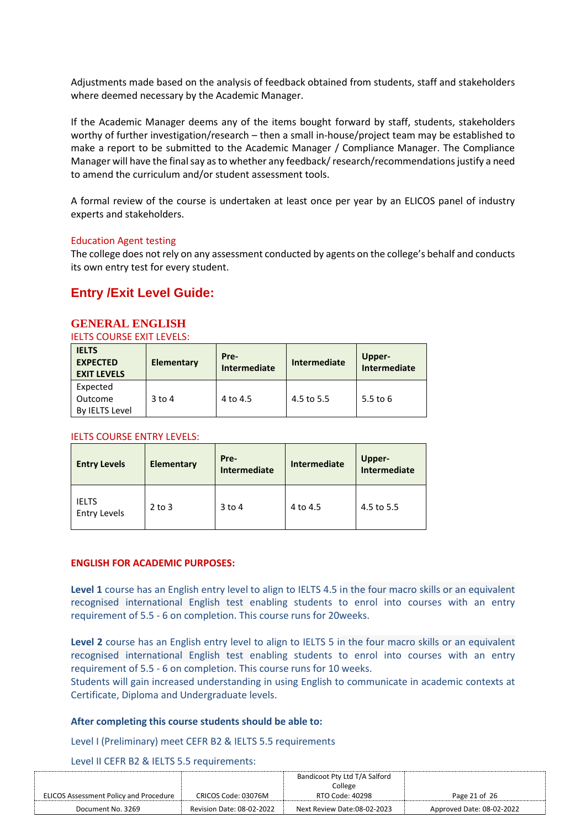Adjustments made based on the analysis of feedback obtained from students, staff and stakeholders where deemed necessary by the Academic Manager.

If the Academic Manager deems any of the items bought forward by staff, students, stakeholders worthy of further investigation/research – then a small in-house/project team may be established to make a report to be submitted to the Academic Manager / Compliance Manager. The Compliance Manager will have the final say as to whether any feedback/ research/recommendations justify a need to amend the curriculum and/or student assessment tools.

A formal review of the course is undertaken at least once per year by an ELICOS panel of industry experts and stakeholders.

#### Education Agent testing

The college does not rely on any assessment conducted by agents on the college's behalf and conducts its own entry test for every student.

# **Entry /Exit Level Guide:**

## **GENERAL ENGLISH**

IELTS COURSE EXIT LEVELS:

| <b>IELTS</b><br><b>EXPECTED</b><br><b>EXIT LEVELS</b> | Elementary | Pre-<br>Intermediate | Intermediate | Upper-<br>Intermediate |
|-------------------------------------------------------|------------|----------------------|--------------|------------------------|
| Expected<br>Outcome<br><b>By IELTS Level</b>          | $3$ to 4   | 4 to 4.5             | 4.5 to 5.5   | 5.5 to 6               |

#### IELTS COURSE ENTRY LEVELS:

| <b>Entry Levels</b>                 | <b>Elementary</b> | Pre-<br><b>Intermediate</b> | Intermediate | Upper-<br>Intermediate |
|-------------------------------------|-------------------|-----------------------------|--------------|------------------------|
| <b>IELTS</b><br><b>Entry Levels</b> | $2$ to $3$        | $3$ to 4                    | 4 to 4.5     | 4.5 to 5.5             |

#### **ENGLISH FOR ACADEMIC PURPOSES:**

**Level 1** course has an English entry level to align to IELTS 4.5 in the four macro skills or an equivalent recognised international English test enabling students to enrol into courses with an entry requirement of 5.5 - 6 on completion. This course runs for 20weeks.

**Level 2** course has an English entry level to align to IELTS 5 in the four macro skills or an equivalent recognised international English test enabling students to enrol into courses with an entry requirement of 5.5 - 6 on completion. This course runs for 10 weeks.

Students will gain increased understanding in using English to communicate in academic contexts at Certificate, Diploma and Undergraduate levels.

#### **After completing this course students should be able to:**

Level I (Preliminary) meet CEFR B2 & IELTS 5.5 requirements

Level II CEFR B2 & IELTS 5.5 requirements:

|                                               | Bandicoot Pty Ltd T/A Salford |                             |                           |
|-----------------------------------------------|-------------------------------|-----------------------------|---------------------------|
|                                               |                               | College                     |                           |
| <b>ELICOS Assessment Policy and Procedure</b> | CRICOS Code: 03076M           | RTO Code: 40298             | Page 21 of 26             |
| Document No. 3269                             | Revision Date: 08-02-2022     | Next Review Date:08-02-2023 | Approved Date: 08-02-2022 |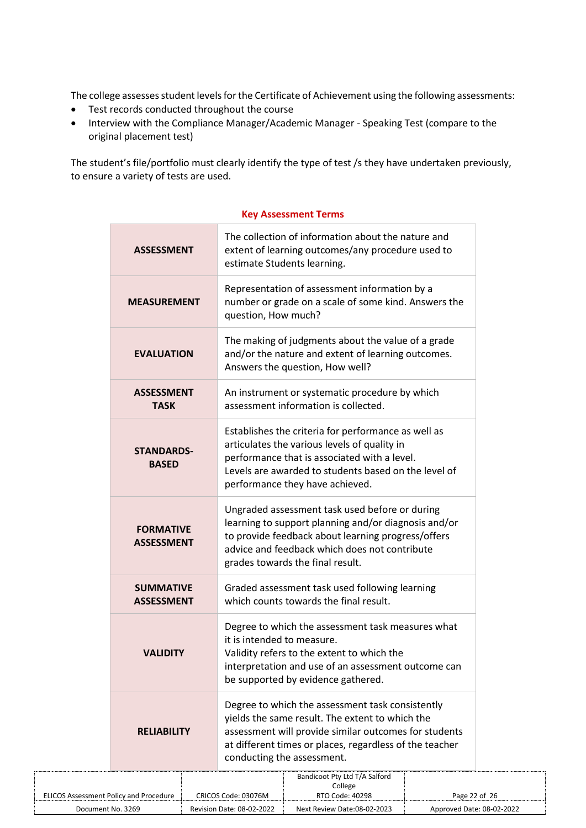The college assesses student levels for the Certificate of Achievement using the following assessments:

- Test records conducted throughout the course
- Interview with the Compliance Manager/Academic Manager Speaking Test (compare to the original placement test)

The student's file/portfolio must clearly identify the type of test /s they have undertaken previously, to ensure a variety of tests are used.

| <b>ASSESSMENT</b>                     | The collection of information about the nature and<br>extent of learning outcomes/any procedure used to<br>estimate Students learning.                                                                                                                |
|---------------------------------------|-------------------------------------------------------------------------------------------------------------------------------------------------------------------------------------------------------------------------------------------------------|
| <b>MEASUREMENT</b>                    | Representation of assessment information by a<br>number or grade on a scale of some kind. Answers the<br>question, How much?                                                                                                                          |
| <b>EVALUATION</b>                     | The making of judgments about the value of a grade<br>and/or the nature and extent of learning outcomes.<br>Answers the question, How well?                                                                                                           |
| <b>ASSESSMENT</b><br><b>TASK</b>      | An instrument or systematic procedure by which<br>assessment information is collected.                                                                                                                                                                |
| <b>STANDARDS-</b><br><b>BASED</b>     | Establishes the criteria for performance as well as<br>articulates the various levels of quality in<br>performance that is associated with a level.<br>Levels are awarded to students based on the level of<br>performance they have achieved.        |
| <b>FORMATIVE</b><br><b>ASSESSMENT</b> | Ungraded assessment task used before or during<br>learning to support planning and/or diagnosis and/or<br>to provide feedback about learning progress/offers<br>advice and feedback which does not contribute<br>grades towards the final result.     |
| <b>SUMMATIVE</b><br><b>ASSESSMENT</b> | Graded assessment task used following learning<br>which counts towards the final result.                                                                                                                                                              |
| <b>VALIDITY</b>                       | Degree to which the assessment task measures what<br>it is intended to measure.<br>Validity refers to the extent to which the<br>interpretation and use of an assessment outcome can<br>be supported by evidence gathered.                            |
| <b>RELIABILITY</b>                    | Degree to which the assessment task consistently<br>yields the same result. The extent to which the<br>assessment will provide similar outcomes for students<br>at different times or places, regardless of the teacher<br>conducting the assessment. |

#### **Key Assessment Terms**

|                                               |                           | Bandicoot Pty Ltd T/A Salford |                           |
|-----------------------------------------------|---------------------------|-------------------------------|---------------------------|
|                                               |                           | College                       |                           |
| <b>ELICOS Assessment Policy and Procedure</b> | CRICOS Code: 03076M       | RTO Code: 40298               | Page 22 of 26             |
| Document No. 3269                             | Revision Date: 08-02-2022 | Next Review Date:08-02-2023   | Approved Date: 08-02-2022 |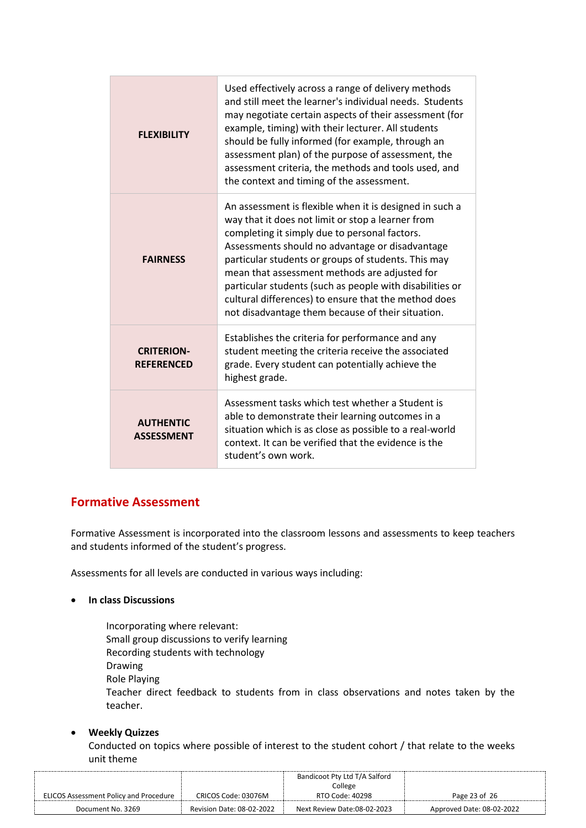| <b>FLEXIBILITY</b>                     | Used effectively across a range of delivery methods<br>and still meet the learner's individual needs. Students<br>may negotiate certain aspects of their assessment (for<br>example, timing) with their lecturer. All students<br>should be fully informed (for example, through an<br>assessment plan) of the purpose of assessment, the<br>assessment criteria, the methods and tools used, and<br>the context and timing of the assessment.                                                    |
|----------------------------------------|---------------------------------------------------------------------------------------------------------------------------------------------------------------------------------------------------------------------------------------------------------------------------------------------------------------------------------------------------------------------------------------------------------------------------------------------------------------------------------------------------|
| <b>FAIRNESS</b>                        | An assessment is flexible when it is designed in such a<br>way that it does not limit or stop a learner from<br>completing it simply due to personal factors.<br>Assessments should no advantage or disadvantage<br>particular students or groups of students. This may<br>mean that assessment methods are adjusted for<br>particular students (such as people with disabilities or<br>cultural differences) to ensure that the method does<br>not disadvantage them because of their situation. |
| <b>CRITERION-</b><br><b>REFERENCED</b> | Establishes the criteria for performance and any<br>student meeting the criteria receive the associated<br>grade. Every student can potentially achieve the<br>highest grade.                                                                                                                                                                                                                                                                                                                     |
| <b>AUTHENTIC</b><br><b>ASSESSMENT</b>  | Assessment tasks which test whether a Student is<br>able to demonstrate their learning outcomes in a<br>situation which is as close as possible to a real-world<br>context. It can be verified that the evidence is the<br>student's own work.                                                                                                                                                                                                                                                    |

# **Formative Assessment**

Formative Assessment is incorporated into the classroom lessons and assessments to keep teachers and students informed of the student's progress.

Assessments for all levels are conducted in various ways including:

• **In class Discussions**

Incorporating where relevant: Small group discussions to verify learning Recording students with technology Drawing Role Playing Teacher direct feedback to students from in class observations and notes taken by the teacher.

## • **Weekly Quizzes**

Conducted on topics where possible of interest to the student cohort / that relate to the weeks unit theme

|                                               |                           | Bandicoot Pty Ltd T/A Salford |                           |
|-----------------------------------------------|---------------------------|-------------------------------|---------------------------|
|                                               |                           | College                       |                           |
| <b>ELICOS Assessment Policy and Procedure</b> | CRICOS Code: 03076M       | RTO Code: 40298               | Page 23 of 26             |
| Document No. 3269                             | Revision Date: 08-02-2022 | Next Review Date:08-02-2023   | Approved Date: 08-02-2022 |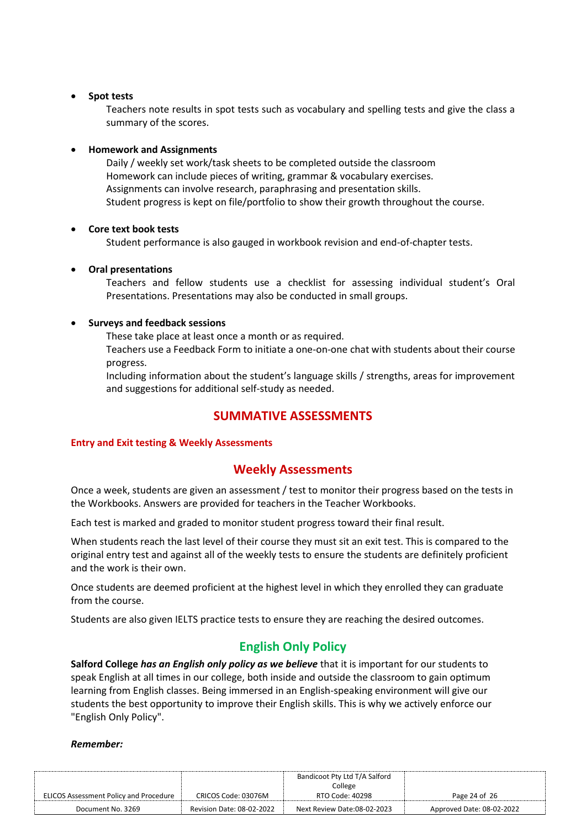## • **Spot tests**

Teachers note results in spot tests such as vocabulary and spelling tests and give the class a summary of the scores.

# • **Homework and Assignments**

Daily / weekly set work/task sheets to be completed outside the classroom Homework can include pieces of writing, grammar & vocabulary exercises. Assignments can involve research, paraphrasing and presentation skills. Student progress is kept on file/portfolio to show their growth throughout the course.

## • **Core text book tests**

Student performance is also gauged in workbook revision and end-of-chapter tests.

# • **Oral presentations**

Teachers and fellow students use a checklist for assessing individual student's Oral Presentations. Presentations may also be conducted in small groups.

# • **Surveys and feedback sessions**

These take place at least once a month or as required.

Teachers use a Feedback Form to initiate a one-on-one chat with students about their course progress.

Including information about the student's language skills / strengths, areas for improvement and suggestions for additional self-study as needed.

# **SUMMATIVE ASSESSMENTS**

## **Entry and Exit testing & Weekly Assessments**

# **Weekly Assessments**

Once a week, students are given an assessment / test to monitor their progress based on the tests in the Workbooks. Answers are provided for teachers in the Teacher Workbooks.

Each test is marked and graded to monitor student progress toward their final result.

When students reach the last level of their course they must sit an exit test. This is compared to the original entry test and against all of the weekly tests to ensure the students are definitely proficient and the work is their own.

Once students are deemed proficient at the highest level in which they enrolled they can graduate from the course.

Students are also given IELTS practice tests to ensure they are reaching the desired outcomes.

# **English Only Policy**

**Salford College** *has an English only policy as we believe* that it is important for our students to speak English at all times in our college, both inside and outside the classroom to gain optimum learning from English classes. Being immersed in an English-speaking environment will give our students the best opportunity to improve their English skills. This is why we actively enforce our "English Only Policy".

## *Remember:*

|                                               | Bandicoot Pty Ltd T/A Salford |                             |                           |
|-----------------------------------------------|-------------------------------|-----------------------------|---------------------------|
|                                               |                               | College                     |                           |
| <b>ELICOS Assessment Policy and Procedure</b> | CRICOS Code: 03076M           | RTO Code: 40298             | Page 24 of 26             |
| Document No. 3269                             | Revision Date: 08-02-2022     | Next Review Date:08-02-2023 | Approved Date: 08-02-2022 |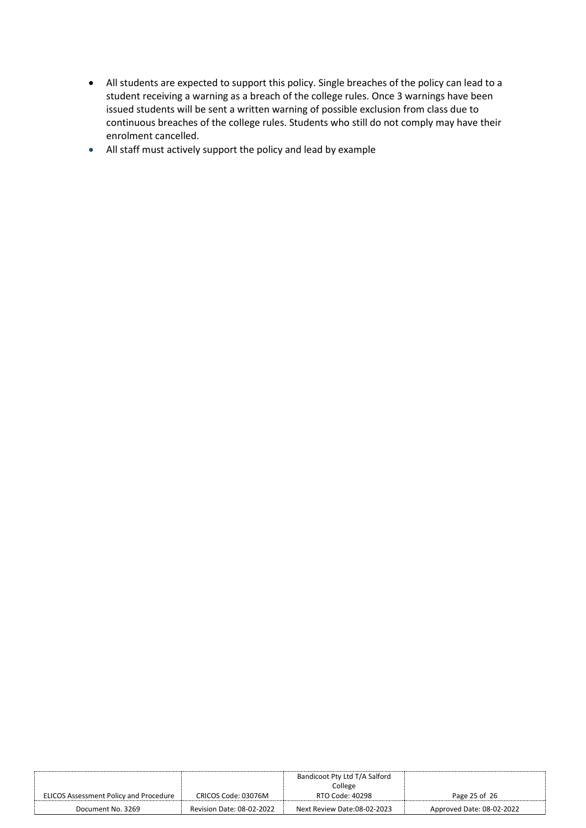- All students are expected to support this policy. Single breaches of the policy can lead to a student receiving a warning as a breach of the college rules. Once 3 warnings have been issued students will be sent a written warning of possible exclusion from class due to continuous breaches of the college rules. Students who still do not comply may have their enrolment cancelled.
- All staff must actively support the policy and lead by example

|                                        |                           | Bandicoot Pty Ltd T/A Salford |                           |
|----------------------------------------|---------------------------|-------------------------------|---------------------------|
|                                        |                           | College                       |                           |
| ELICOS Assessment Policy and Procedure | CRICOS Code: 03076M       | RTO Code: 40298               | Page 25 of 26             |
| Document No. 3269                      | Revision Date: 08-02-2022 | Next Review Date:08-02-2023   | Approved Date: 08-02-2022 |